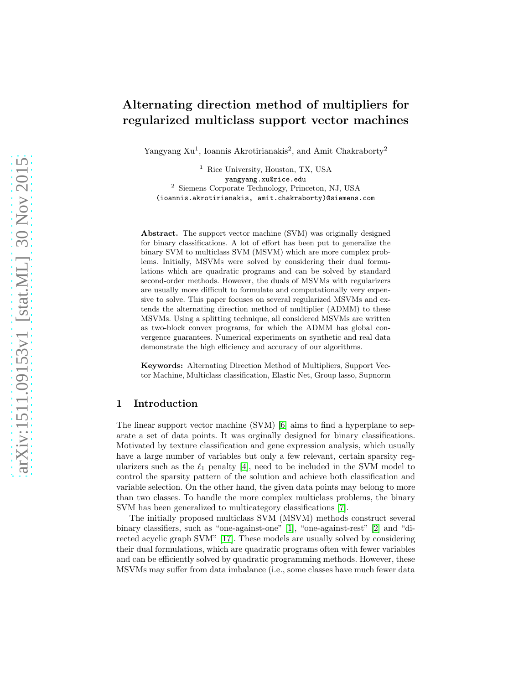# Alternating direction method of multipliers for regularized multiclass support vector machines

Yangyang Xu<sup>1</sup>, Ioannis Akrotirianakis<sup>2</sup>, and Amit Chakraborty<sup>2</sup>

<sup>1</sup> Rice University, Houston, TX, USA yangyang.xu@rice.edu 2 Siemens Corporate Technology, Princeton, NJ, USA (ioannis.akrotirianakis, amit.chakraborty)@siemens.com

Abstract. The support vector machine (SVM) was originally designed for binary classifications. A lot of effort has been put to generalize the binary SVM to multiclass SVM (MSVM) which are more complex problems. Initially, MSVMs were solved by considering their dual formulations which are quadratic programs and can be solved by standard second-order methods. However, the duals of MSVMs with regularizers are usually more difficult to formulate and computationally very expensive to solve. This paper focuses on several regularized MSVMs and extends the alternating direction method of multiplier (ADMM) to these MSVMs. Using a splitting technique, all considered MSVMs are written as two-block convex programs, for which the ADMM has global convergence guarantees. Numerical experiments on synthetic and real data demonstrate the high efficiency and accuracy of our algorithms.

Keywords: Alternating Direction Method of Multipliers, Support Vector Machine, Multiclass classification, Elastic Net, Group lasso, Supnorm

# 1 Introduction

The linear support vector machine (SVM) [\[6\]](#page-11-0) aims to find a hyperplane to separate a set of data points. It was orginally designed for binary classifications. Motivated by texture classification and gene expression analysis, which usually have a large number of variables but only a few relevant, certain sparsity regularizers such as the  $\ell_1$  penalty [\[4\]](#page-11-1), need to be included in the SVM model to control the sparsity pattern of the solution and achieve both classification and variable selection. On the other hand, the given data points may belong to more than two classes. To handle the more complex multiclass problems, the binary SVM has been generalized to multicategory classifications [\[7\]](#page-11-2).

The initially proposed multiclass SVM (MSVM) methods construct several binary classifiers, such as "one-against-one" [\[1\]](#page-10-0), "one-against-rest" [\[2\]](#page-10-1) and "directed acyclic graph SVM" [\[17\]](#page-11-3). These models are usually solved by considering their dual formulations, which are quadratic programs often with fewer variables and can be efficiently solved by quadratic programming methods. However, these MSVMs may suffer from data imbalance (i.e., some classes have much fewer data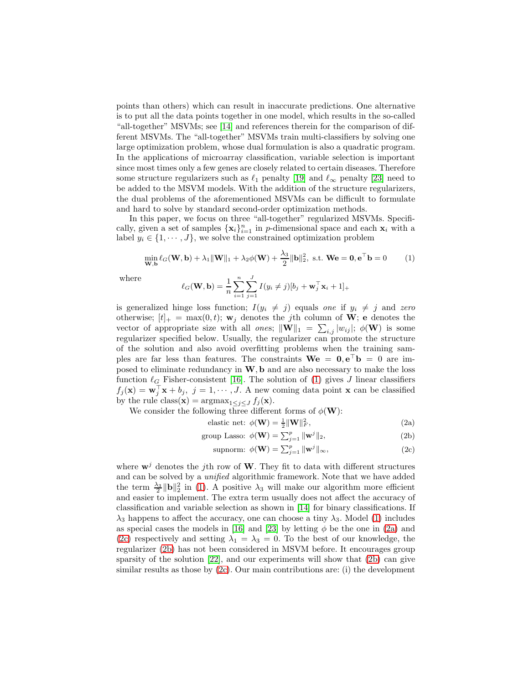points than others) which can result in inaccurate predictions. One alternative is to put all the data points together in one model, which results in the so-called "all-together" MSVMs; see [\[14\]](#page-11-4) and references therein for the comparison of different MSVMs. The "all-together" MSVMs train multi-classifiers by solving one large optimization problem, whose dual formulation is also a quadratic program. In the applications of microarray classification, variable selection is important since most times only a few genes are closely related to certain diseases. Therefore some structure regularizers such as  $\ell_1$  penalty [\[19\]](#page-11-5) and  $\ell_{\infty}$  penalty [\[23\]](#page-11-6) need to be added to the MSVM models. With the addition of the structure regularizers, the dual problems of the aforementioned MSVMs can be difficult to formulate and hard to solve by standard second-order optimization methods.

In this paper, we focus on three "all-together" regularized MSVMs. Specifically, given a set of samples  $\{x_i\}_{i=1}^n$  in *p*-dimensional space and each  $x_i$  with a label  $y_i \in \{1, \dots, J\}$ , we solve the constrained optimization problem

<span id="page-1-0"></span>
$$
\min_{\mathbf{W},\mathbf{b}} \ell_G(\mathbf{W},\mathbf{b}) + \lambda_1 \|\mathbf{W}\|_1 + \lambda_2 \phi(\mathbf{W}) + \frac{\lambda_3}{2} \|\mathbf{b}\|_2^2, \text{ s.t. } \mathbf{W}\mathbf{e} = \mathbf{0}, \mathbf{e}^\top \mathbf{b} = 0 \tag{1}
$$

where

$$
\ell_G(\mathbf{W}, \mathbf{b}) = \frac{1}{n} \sum_{i=1}^n \sum_{j=1}^J I(y_i \neq j) [b_j + \mathbf{w}_j^{\top} \mathbf{x}_i + 1]_+
$$

is generalized hinge loss function;  $I(y_i \neq j)$  equals one if  $y_i \neq j$  and zero otherwise;  $[t]_+ = \max(0, t)$ ;  $\mathbf{w}_j$  denotes the *j*th column of **W**; **e** denotes the vector of appropriate size with all *ones*;  $\|\mathbf{W}\|_1 = \sum_{i,j} |w_{ij}|$ ;  $\phi(\mathbf{W})$  is some regularizer specified below. Usually, the regularizer can promote the structure of the solution and also avoid overfitting problems when the training samples are far less than features. The constraints  $\mathbf{W}\mathbf{e} = \mathbf{0}, \mathbf{e}^{\top}\mathbf{b} = 0$  are imposed to eliminate redundancy in  $W$ ,  $b$  and are also necessary to make the loss function  $\ell_G$  Fisher-consistent [\[16\]](#page-11-7). The solution of [\(1\)](#page-1-0) gives J linear classifiers  $f_j(\mathbf{x}) = \mathbf{w}_j^{\top} \mathbf{x} + b_j$ ,  $j = 1, \dots, J$ . A new coming data point  $\mathbf{x}$  can be classified by the rule class(**x**) =  $\operatorname{argmax}_{1 \leq j \leq J} f_j(\mathbf{x})$ .

We consider the following three different forms of  $\phi(\mathbf{W})$ :

elastic net: 
$$
\phi(\mathbf{W}) = \frac{1}{2} \|\mathbf{W}\|_F^2
$$
, (2a)

group Lasso: 
$$
\phi(\mathbf{W}) = \sum_{j=1}^{p} ||\mathbf{w}^{j}||_2,
$$
 (2b)

<span id="page-1-4"></span><span id="page-1-3"></span><span id="page-1-2"></span><span id="page-1-1"></span>
$$
\text{supnorm: } \phi(\mathbf{W}) = \sum_{j=1}^{p} \|\mathbf{w}^{j}\|_{\infty},\tag{2c}
$$

where  $\mathbf{w}^{j}$  denotes the j<sup>th</sup> row of **W**. They fit to data with different structures and can be solved by a unified algorithmic framework. Note that we have added the term  $\frac{\lambda_3}{2} \|\mathbf{b}\|_2^2$  in [\(1\)](#page-1-0). A positive  $\lambda_3$  will make our algorithm more efficient and easier to implement. The extra term usually does not affect the accuracy of classification and variable selection as shown in [\[14\]](#page-11-4) for binary classifications. If  $\lambda_3$  happens to affect the accuracy, one can choose a tiny  $\lambda_3$ . Model [\(1\)](#page-1-0) includes as special cases the models in [\[16\]](#page-11-7) and [\[23\]](#page-11-6) by letting  $\phi$  be the one in [\(2a\)](#page-1-1) and [\(2c\)](#page-1-2) respectively and setting  $\lambda_1 = \lambda_3 = 0$ . To the best of our knowledge, the regularizer [\(2b\)](#page-1-3) has not been considered in MSVM before. It encourages group sparsity of the solution [\[22\]](#page-11-8), and our experiments will show that [\(2b\)](#page-1-3) can give similar results as those by  $(2c)$ . Our main contributions are: (i) the development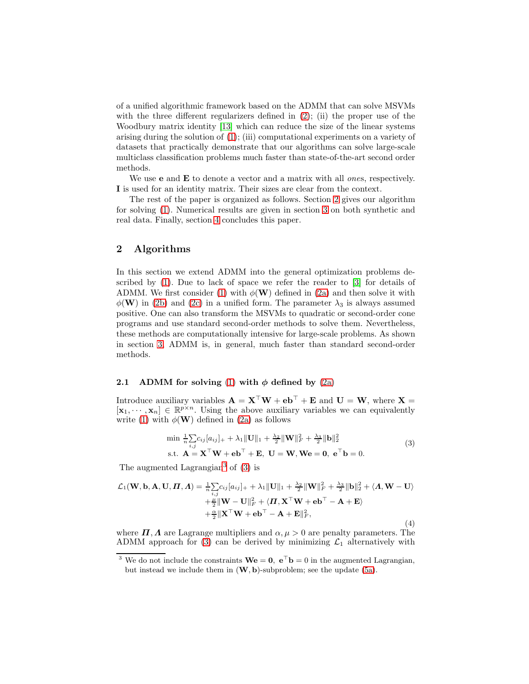of a unified algorithmic framework based on the ADMM that can solve MSVMs with the three different regularizers defined in  $(2)$ ; (ii) the proper use of the Woodbury matrix identity [\[13\]](#page-11-9) which can reduce the size of the linear systems arising during the solution of [\(1\)](#page-1-0); (iii) computational experiments on a variety of datasets that practically demonstrate that our algorithms can solve large-scale multiclass classification problems much faster than state-of-the-art second order methods.

We use **e** and  $\bf{E}$  to denote a vector and a matrix with all *ones*, respectively. I is used for an identity matrix. Their sizes are clear from the context.

The rest of the paper is organized as follows. Section [2](#page-2-0) gives our algorithm for solving [\(1\)](#page-1-0). Numerical results are given in section [3](#page-6-0) on both synthetic and real data. Finally, section [4](#page-10-2) concludes this paper.

# <span id="page-2-0"></span>2 Algorithms

In this section we extend ADMM into the general optimization problems described by [\(1\)](#page-1-0). Due to lack of space we refer the reader to [\[3\]](#page-10-3) for details of ADMM. We first consider [\(1\)](#page-1-0) with  $\phi(\mathbf{W})$  defined in [\(2a\)](#page-1-1) and then solve it with  $\phi(\mathbf{W})$  in [\(2b\)](#page-1-3) and [\(2c\)](#page-1-2) in a unified form. The parameter  $\lambda_3$  is always assumed positive. One can also transform the MSVMs to quadratic or second-order cone programs and use standard second-order methods to solve them. Nevertheless, these methods are computationally intensive for large-scale problems. As shown in section [3,](#page-6-0) ADMM is, in general, much faster than standard second-order methods.

## <span id="page-2-3"></span>2.1 ADMM for solving [\(1\)](#page-1-0) with  $\phi$  defined by [\(2a\)](#page-1-1)

Introduce auxiliary variables  $\mathbf{A} = \mathbf{X}^\top \mathbf{W} + \mathbf{e} \mathbf{b}^\top + \mathbf{E}$  and  $\mathbf{U} = \mathbf{W}$ , where  $\mathbf{X} =$  $[\mathbf{x}_1, \dots, \mathbf{x}_n] \in \mathbb{R}^{p \times n}$ . Using the above auxiliary variables we can equivalently write [\(1\)](#page-1-0) with  $\phi(\mathbf{W})$  defined in [\(2a\)](#page-1-1) as follows

<span id="page-2-2"></span>
$$
\min \frac{1}{n} \sum_{i,j} c_{ij} [a_{ij}]_+ + \lambda_1 \|\mathbf{U}\|_1 + \frac{\lambda_2}{2} \|\mathbf{W}\|_F^2 + \frac{\lambda_3}{2} \|\mathbf{b}\|_2^2
$$
  
s.t.  $\mathbf{A} = \mathbf{X}^\top \mathbf{W} + \mathbf{e} \mathbf{b}^\top + \mathbf{E}$ ,  $\mathbf{U} = \mathbf{W}$ ,  $\mathbf{W} \mathbf{e} = \mathbf{0}$ ,  $\mathbf{e}^\top \mathbf{b} = 0$ . (3)

The augmented Lagrangian<sup>[3](#page-2-1)</sup> of  $(3)$  is

<span id="page-2-4"></span>
$$
\mathcal{L}_1(\mathbf{W}, \mathbf{b}, \mathbf{A}, \mathbf{U}, \mathbf{\Pi}, \mathbf{\Lambda}) = \frac{1}{n} \sum_{i,j} c_{ij} [a_{ij}]_+ + \lambda_1 \|\mathbf{U}\|_1 + \frac{\lambda_2}{2} \|\mathbf{W}\|_F^2 + \frac{\lambda_3}{2} \|\mathbf{b}\|_2^2 + \langle \mathbf{\Lambda}, \mathbf{W} - \mathbf{U} \rangle
$$
  
 
$$
+ \frac{\mu}{2} \|\mathbf{W} - \mathbf{U}\|_F^2 + \langle \mathbf{\Pi}, \mathbf{X}^\top \mathbf{W} + \mathbf{e} \mathbf{b}^\top - \mathbf{A} + \mathbf{E} \rangle
$$
  
 
$$
+ \frac{\alpha}{2} \|\mathbf{X}^\top \mathbf{W} + \mathbf{e} \mathbf{b}^\top - \mathbf{A} + \mathbf{E}\|_F^2, \tag{4}
$$

where  $\Pi$ ,  $\Lambda$  are Lagrange multipliers and  $\alpha, \mu > 0$  are penalty parameters. The ADMM approach for [\(3\)](#page-2-2) can be derived by minimizing  $\mathcal{L}_1$  alternatively with

<span id="page-2-1"></span><sup>&</sup>lt;sup>3</sup> We do not include the constraints  $\mathbf{W}\mathbf{e} = \mathbf{0}$ ,  $\mathbf{e}^\top \mathbf{b} = 0$  in the augmented Lagrangian, but instead we include them in  $(W, b)$ -subproblem; see the update [\(5a\)](#page-3-0).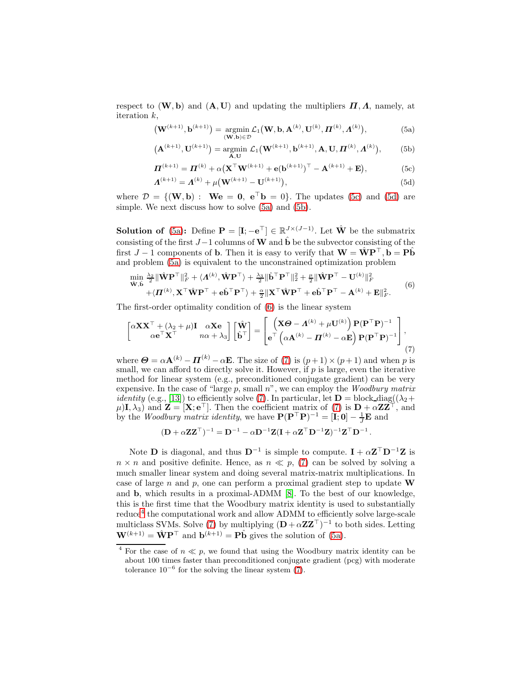respect to  $(W, b)$  and  $(A, U)$  and updating the multipliers  $\Pi, \Lambda$ , namely, at iteration k,

<span id="page-3-4"></span><span id="page-3-0"></span>
$$
\left(\mathbf{W}^{(k+1)},\mathbf{b}^{(k+1)}\right) = \underset{\left(\mathbf{W},\mathbf{b}\right)\in\mathcal{D}}{\operatorname{argmin}} \mathcal{L}_1\left(\mathbf{W},\mathbf{b},\mathbf{A}^{(k)},\mathbf{U}^{(k)},\boldsymbol{\Pi}^{(k)},\boldsymbol{\Lambda}^{(k)}\right),\tag{5a}
$$

$$
(\mathbf{A}^{(k+1)}, \mathbf{U}^{(k+1)}) = \underset{\mathbf{A}, \mathbf{U}}{\text{argmin}} \ \mathcal{L}_1(\mathbf{W}^{(k+1)}, \mathbf{b}^{(k+1)}, \mathbf{A}, \mathbf{U}, \boldsymbol{\Pi}^{(k)}, \boldsymbol{\Lambda}^{(k)}), \tag{5b}
$$

$$
\boldsymbol{\Pi}^{(k+1)} = \boldsymbol{\Pi}^{(k)} + \alpha (\mathbf{X}^{\top} \mathbf{W}^{(k+1)} + \mathbf{e}(\mathbf{b}^{(k+1)})^{\top} - \mathbf{A}^{(k+1)} + \mathbf{E}),
$$
(5c)

$$
\Lambda^{(k+1)} = \Lambda^{(k)} + \mu(\mathbf{W}^{(k+1)} - \mathbf{U}^{(k+1)}),
$$
\n(5d)

where  $\mathcal{D} = \{(\mathbf{W}, \mathbf{b}) : \mathbf{W}\mathbf{e} = \mathbf{0}, \mathbf{e}^{\top}\mathbf{b} = 0\}$ . The updates [\(5c\)](#page-3-0) and [\(5d\)](#page-3-0) are simple. We next discuss how to solve [\(5a\)](#page-3-0) and [\(5b\)](#page-3-0).

**Solution of** [\(5a\)](#page-3-0): Define  $\mathbf{P} = [\mathbf{I}; -\mathbf{e}^{\top}] \in \mathbb{R}_{\sim}^{J \times (J-1)}$ . Let  $\hat{\mathbf{W}}$  be the submatrix consisting of the first  $J-1$  columns of W and  $\hat{\mathbf{b}}$  be the subvector consisting of the first  $J - 1$  components of **b**. Then it is easy to verify that  $\mathbf{W} = \hat{\mathbf{W}} \mathbf{P}^{\top}$ ,  $\mathbf{b} = \mathbf{P} \hat{\mathbf{b}}$ and problem [\(5a\)](#page-3-0) is equivalent to the unconstrained optimization problem

<span id="page-3-1"></span>
$$
\begin{split} &\min_{\hat{\mathbf{W}}, \hat{\mathbf{b}}} \frac{\lambda_2}{2} \|\hat{\mathbf{W}} \mathbf{P}^\top\|_F^2 + \langle \mathbf{\Lambda}^{(k)}, \hat{\mathbf{W}} \mathbf{P}^\top \rangle + \frac{\lambda_3}{2} \|\hat{\mathbf{b}}^\top \mathbf{P}^\top\|_2^2 + \frac{\mu}{2} \|\hat{\mathbf{W}} \mathbf{P}^\top - \mathbf{U}^{(k)}\|_F^2 \\ &+ \langle \mathbf{\Pi}^{(k)}, \mathbf{X}^\top \hat{\mathbf{W}} \mathbf{P}^\top + \mathbf{e} \hat{\mathbf{b}}^\top \mathbf{P}^\top \rangle + \frac{\alpha}{2} \|\mathbf{X}^\top \hat{\mathbf{W}} \mathbf{P}^\top + \mathbf{e} \hat{\mathbf{b}}^\top \mathbf{P}^\top - \mathbf{\Lambda}^{(k)} + \mathbf{E}\|_F^2. \end{split} \tag{6}
$$

The first-order optimality condition of [\(6\)](#page-3-1) is the linear system

<span id="page-3-2"></span>
$$
\begin{bmatrix} \alpha \mathbf{X} \mathbf{X}^{\top} + (\lambda_2 + \mu) \mathbf{I} & \alpha \mathbf{X} \mathbf{e} \\ \alpha \mathbf{e}^{\top} \mathbf{X}^{\top} & n\alpha + \lambda_3 \end{bmatrix} \begin{bmatrix} \hat{\mathbf{W}} \\ \hat{\mathbf{b}}^{\top} \end{bmatrix} = \begin{bmatrix} \left( \mathbf{X} \boldsymbol{\Theta} - \boldsymbol{\Lambda}^{(k)} + \mu \mathbf{U}^{(k)} \right) \mathbf{P} (\mathbf{P}^{\top} \mathbf{P})^{-1} \\ \mathbf{e}^{\top} \left( \alpha \mathbf{A}^{(k)} - \boldsymbol{\Pi}^{(k)} - \alpha \mathbf{E} \right) \mathbf{P} (\mathbf{P}^{\top} \mathbf{P})^{-1} \end{bmatrix},
$$
\n(7)

where  $\boldsymbol{\Theta} = \alpha \mathbf{A}^{(k)} - \boldsymbol{\Pi}^{(k)} - \alpha \mathbf{E}$ . The size of [\(7\)](#page-3-2) is  $(p+1) \times (p+1)$  and when p is small, we can afford to directly solve it. However, if  $p$  is large, even the iterative method for linear system (e.g., preconditioned conjugate gradient) can be very expensive. In the case of "large  $p$ , small  $n$ ", we can employ the *Woodbury matrix identity* (e.g., [\[13\]](#page-11-9)) to efficiently solve [\(7\)](#page-3-2). In particular, let  $\mathbf{D} = \text{block\_diag}((\lambda_2 +$  $(\mu)$ **I**,  $\lambda_3$ ) and  $\mathbf{Z} = [\mathbf{X}; \mathbf{e}^\top]$ . Then the coefficient matrix of [\(7\)](#page-3-2) is  $\mathbf{D} + \alpha \mathbf{Z} \mathbf{Z}^\top$ , and by the *Woodbury matrix identity*, we have  $P(P^{\top}P)^{-1} = [\mathbf{i}, \mathbf{0}] - \frac{1}{J}\mathbf{E}$  and

$$
(\mathbf{D} + \alpha \mathbf{Z} \mathbf{Z}^{\top})^{-1} = \mathbf{D}^{-1} - \alpha \mathbf{D}^{-1} \mathbf{Z} (\mathbf{I} + \alpha \mathbf{Z}^{\top} \mathbf{D}^{-1} \mathbf{Z})^{-1} \mathbf{Z}^{\top} \mathbf{D}^{-1}.
$$

Note **D** is diagonal, and thus  $D^{-1}$  is simple to compute.  $I + \alpha Z^{\top} D^{-1}Z$  is  $n \times n$  and positive definite. Hence, as  $n \ll p$ , [\(7\)](#page-3-2) can be solved by solving a much smaller linear system and doing several matrix-matrix multiplications. In case of large n and p, one can perform a proximal gradient step to update  $W$ and b, which results in a proximal-ADMM [\[8\]](#page-11-10). To the best of our knowledge, this is the first time that the Woodbury matrix identity is used to substantially reduce<sup>[4](#page-3-3)</sup> the computational work and allow ADMM to efficiently solve large-scale multiclass SVMs. Solve [\(7\)](#page-3-2) by multiplying  $(D + \alpha ZZ^{\top})^{-1}$  to both sides. Letting  $\mathbf{W}^{(k+1)} = \hat{\mathbf{W}} \mathbf{P}^{\top}$  and  $\mathbf{b}^{(k+1)} = \mathbf{P} \hat{\mathbf{b}}$  gives the solution of [\(5a\)](#page-3-0).

<span id="page-3-3"></span><sup>&</sup>lt;sup>4</sup> For the case of  $n \ll p$ , we found that using the Woodbury matrix identity can be about 100 times faster than preconditioned conjugate gradient (pcg) with moderate tolerance  $10^{-6}$  for the solving the linear system [\(7\)](#page-3-2).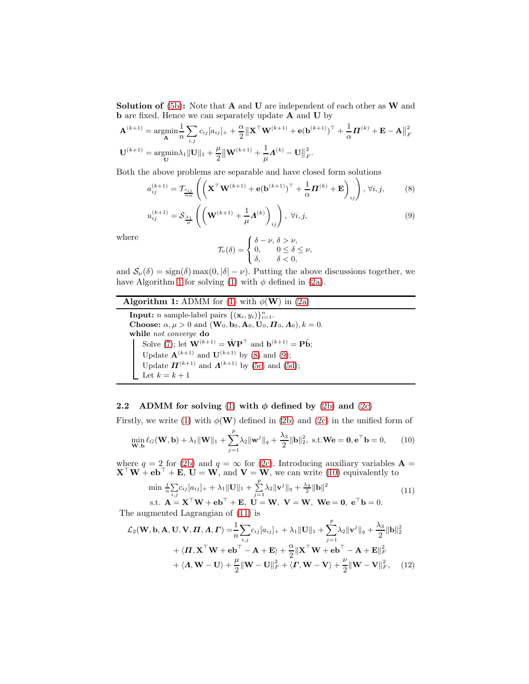**Solution of** [\(5b\)](#page-3-0): Note that  $A$  and  $U$  are independent of each other as  $W$  and b are fixed. Hence we can separately update A and U by

$$
\mathbf{A}^{(k+1)} = \underset{\mathbf{A}}{\operatorname{argmin}} \frac{1}{n} \sum_{i,j} c_{ij} [a_{ij}]_+ + \frac{\alpha}{2} \left\| \mathbf{X}^\top \mathbf{W}^{(k+1)} + \mathbf{e}(\mathbf{b}^{(k+1)})^\top + \frac{1}{\alpha} \mathbf{\Pi}^{(k)} + \mathbf{E} - \mathbf{A} \right\|_F^2
$$
  

$$
\mathbf{U}^{(k+1)} = \underset{\mathbf{U}}{\operatorname{argmin}} \lambda_1 \left\| \mathbf{U} \right\|_1 + \frac{\mu}{2} \left\| \mathbf{W}^{(k+1)} + \frac{1}{\mu} \mathbf{\Lambda}^{(k)} - \mathbf{U} \right\|_F^2.
$$

Both the above problems are separable and have closed form solutions

$$
a_{ij}^{(k+1)} = \mathcal{T}_{\frac{c_{ij}}{n\alpha}} \left( \left( \mathbf{X}^{\top} \mathbf{W}^{(k+1)} + \mathbf{e}(\mathbf{b}^{(k+1)})^{\top} + \frac{1}{\alpha} \mathbf{\Pi}^{(k)} + \mathbf{E} \right)_{ij} \right), \forall i, j, \tag{8}
$$

$$
u_{ij}^{(k+1)} = S_{\frac{\lambda_1}{\mu}} \left( \left( \mathbf{W}^{(k+1)} + \frac{1}{\mu} \mathbf{\Lambda}^{(k)} \right)_{ij} \right), \ \forall i, j,
$$
 (9)

where

<span id="page-4-2"></span><span id="page-4-1"></span>
$$
\mathcal{T}_{\nu}(\delta) = \begin{cases} \delta - \nu, \ \delta > \nu, \\ 0, & 0 \leq \delta \leq \nu, \\ \delta, & \delta < 0, \end{cases}
$$

and  $S_{\nu}(\delta) = \text{sign}(\delta) \max(0, |\delta| - \nu)$ . Putting the above discussions together, we have Algorithm [1](#page-4-0) for solving [\(1\)](#page-1-0) with  $\phi$  defined in [\(2a\)](#page-1-1).

## **Algorithm 1:** ADMM for [\(1\)](#page-1-0) with  $\phi(\mathbf{W})$  in [\(2a\)](#page-1-1)

<span id="page-4-0"></span>**Input:** *n* sample-label pairs  $\{(\mathbf{x}_i, y_i)\}_{i=1}^n$ . **Choose:**  $\alpha, \mu > 0$  and  $(\mathbf{W}_0, \mathbf{b}_0, \mathbf{A}_0, \mathbf{U}_0, \mathbf{\Pi}_0, \mathbf{\Lambda}_0), k = 0.$ while not converge do Solve [\(7\)](#page-3-2); let  $\mathbf{W}^{(k+1)} = \hat{\mathbf{W}} \mathbf{P}^{\top}$  and  $\mathbf{b}^{(k+1)} = \mathbf{P} \hat{\mathbf{b}}$ ; Update  $A^{(k+1)}$  and  $U^{(k+1)}$  by [\(8\)](#page-4-1) and [\(9\)](#page-4-2); Update  $\boldsymbol{\Pi}^{(k+1)}$  and  $\boldsymbol{\Lambda}^{(k+1)}$  by [\(5c\)](#page-3-0) and [\(5d\)](#page-3-0); Let  $k = k + 1$ 

## 2.2 ADMM for solving [\(1\)](#page-1-0) with  $\phi$  defined by [\(2b\)](#page-1-3) and [\(2c\)](#page-1-2)

Firstly, we write [\(1\)](#page-1-0) with  $\phi(\mathbf{W})$  defined in [\(2b\)](#page-1-3) and [\(2c\)](#page-1-2) in the unified form of

<span id="page-4-3"></span>
$$
\min_{\mathbf{W}, \mathbf{b}} \ell_G(\mathbf{W}, \mathbf{b}) + \lambda_1 \|\mathbf{W}\|_1 + \sum_{j=1}^p \lambda_2 \|\mathbf{w}^j\|_q + \frac{\lambda_3}{2} \|\mathbf{b}\|_2^2, \text{ s.t. } \mathbf{W}\mathbf{e} = \mathbf{0}, \mathbf{e}^\top \mathbf{b} = 0,
$$
 (10)

where  $q = 2$  for [\(2b\)](#page-1-3) and  $q = \infty$  for [\(2c\)](#page-1-2). Introducing auxiliary variables **A** =  $\mathbf{X}^\top \mathbf{W} + \mathbf{e} \mathbf{b}^\top + \mathbf{E}, \mathbf{U} = \mathbf{W}$ , and  $\mathbf{V} = \mathbf{W}$ , we can write [\(10\)](#page-4-3) equivalently to

<span id="page-4-5"></span><span id="page-4-4"></span>
$$
\min \frac{1}{n} \sum_{i,j} c_{ij} [a_{ij}]_+ + \lambda_1 ||\mathbf{U}||_1 + \sum_{j=1}^p \lambda_2 ||\mathbf{v}^j||_q + \frac{\lambda_3}{2} ||\mathbf{b}||^2
$$
\n
$$
\text{s.t. } \mathbf{A} = \mathbf{X}^\top \mathbf{W} + \mathbf{e} \mathbf{b}^\top + \mathbf{E}, \ \mathbf{U} = \mathbf{W}, \ \mathbf{V} = \mathbf{W}, \ \mathbf{W} \mathbf{e} = \mathbf{0}, \ \mathbf{e}^\top \mathbf{b} = 0.
$$
\n(11)

The augmented Lagrangian of [\(11\)](#page-4-4) is

$$
\mathcal{L}_2(\mathbf{W}, \mathbf{b}, \mathbf{A}, \mathbf{U}, \mathbf{V}, \boldsymbol{\Pi}, \boldsymbol{\Lambda}, \boldsymbol{\Gamma}) = \frac{1}{n} \sum_{i,j} c_{ij} [a_{ij}]_+ + \lambda_1 \|\mathbf{U}\|_1 + \sum_{j=1}^p \lambda_2 \|\mathbf{v}^j\|_q + \frac{\lambda_3}{2} \|\mathbf{b}\|_2^2
$$
  
+  $\langle \boldsymbol{\Pi}, \mathbf{X}^\top \mathbf{W} + \mathbf{e} \mathbf{b}^\top - \mathbf{A} + \mathbf{E} \rangle + \frac{\alpha}{2} \|\mathbf{X}^\top \mathbf{W} + \mathbf{e} \mathbf{b}^\top - \mathbf{A} + \mathbf{E} \|^2_F$   
+  $\langle \boldsymbol{\Lambda}, \mathbf{W} - \mathbf{U} \rangle + \frac{\mu}{2} \|\mathbf{W} - \mathbf{U}\|_F^2 + \langle \boldsymbol{\Gamma}, \mathbf{W} - \mathbf{V} \rangle + \frac{\nu}{2} \|\mathbf{W} - \mathbf{V}\|_F^2, \quad (12)$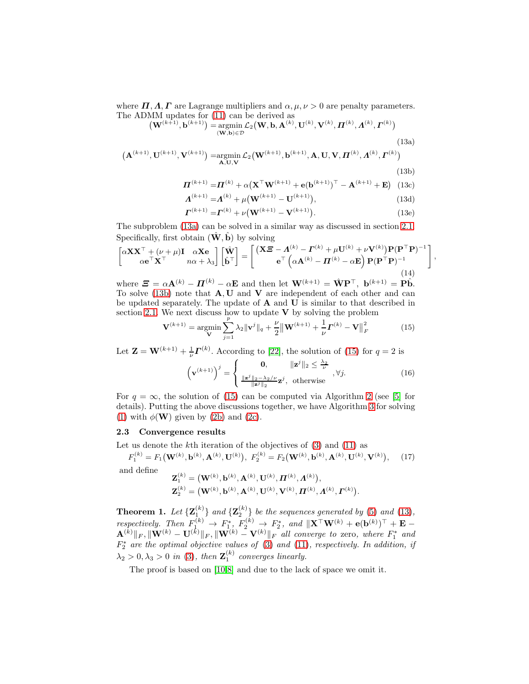where  $\Pi, \Lambda, \Gamma$  are Lagrange multipliers and  $\alpha, \mu, \nu > 0$  are penalty parameters. The ADMM updates for [\(11\)](#page-4-4) can be derived as

$$
\left(\mathbf{W}^{(k+1)},\mathbf{b}^{(k+1)}\right) = \underset{\left(\mathbf{W},\mathbf{b}\right)\in\mathcal{D}}{\operatorname{argmin}} \mathcal{L}_2\left(\mathbf{W},\mathbf{b},\mathbf{A}^{(k)},\mathbf{U}^{(k)},\mathbf{V}^{(k)},\boldsymbol{\Pi}^{(k)},\boldsymbol{\Lambda}^{(k)},\boldsymbol{\Gamma}^{(k)}\right)
$$
\n(13a)

$$
(\mathbf{A}^{(k+1)}, \mathbf{U}^{(k+1)}, \mathbf{V}^{(k+1)}) = \underset{\mathbf{A}, \mathbf{U}, \mathbf{V}}{\text{argmin}} \mathcal{L}_2(\mathbf{W}^{(k+1)}, \mathbf{b}^{(k+1)}, \mathbf{A}, \mathbf{U}, \mathbf{V}, \boldsymbol{\Pi}^{(k)}, \boldsymbol{\Lambda}^{(k)}, \boldsymbol{\Gamma}^{(k)})
$$
(13b)

<span id="page-5-3"></span>
$$
\boldsymbol{\Pi}^{(k+1)} = \boldsymbol{\Pi}^{(k)} + \alpha \big( \mathbf{X}^{\top} \mathbf{W}^{(k+1)} + \mathbf{e} (\mathbf{b}^{(k+1)})^{\top} - \mathbf{A}^{(k+1)} + \mathbf{E} \big)
$$
(13c)

$$
\Lambda^{(k+1)} = \Lambda^{(k)} + \mu(\mathbf{W}^{(k+1)} - \mathbf{U}^{(k+1)}),
$$
\n(13d)

$$
\boldsymbol{\Gamma}^{(k+1)} = \boldsymbol{\Gamma}^{(k)} + \nu (\mathbf{W}^{(k+1)} - \mathbf{V}^{(k+1)}).
$$
 (13e)

<span id="page-5-8"></span><span id="page-5-7"></span><span id="page-5-6"></span><span id="page-5-1"></span><span id="page-5-0"></span>,

The subproblem [\(13a\)](#page-5-0) can be solved in a similar way as discussed in section [2.1.](#page-2-3) Specifically, first obtain  $(\hat{\mathbf{W}}, \hat{\mathbf{b}})$  by solving

<span id="page-5-4"></span>
$$
\begin{bmatrix} \alpha \mathbf{X} \mathbf{X}^{\top} + (\nu + \mu) \mathbf{I} & \alpha \mathbf{X} \mathbf{e} \\ \alpha \mathbf{e}^{\top} \mathbf{X}^{\top} & n\alpha + \lambda_3 \end{bmatrix} \begin{bmatrix} \hat{\mathbf{W}} \\ \hat{\mathbf{b}}^{\top} \end{bmatrix} = \begin{bmatrix} (\mathbf{X} \boldsymbol{\Xi} - \boldsymbol{\Lambda}^{(k)} - \boldsymbol{\Gamma}^{(k)} + \mu \mathbf{U}^{(k)} + \nu \mathbf{V}^{(k)}) \mathbf{P} (\mathbf{P}^{\top} \mathbf{P})^{-1} \\ \mathbf{e}^{\top} \left( \alpha \mathbf{A}^{(k)} - \boldsymbol{\Pi}^{(k)} - \alpha \mathbf{E} \right) \mathbf{P} (\mathbf{P}^{\top} \mathbf{P})^{-1} \end{bmatrix}
$$
\n
$$
\mathbf{W} = \begin{bmatrix} \mathbf{W} & \mathbf{W} & \mathbf{W} & \mathbf{W} & \mathbf{W} & \mathbf{W} & \mathbf{W} & \mathbf{W} \\ \mathbf{W} & \mathbf{W} & \mathbf{W} & \mathbf{W} & \mathbf{W} & \mathbf{W} & \mathbf{W} \end{bmatrix}
$$

where  $\mathbf{E} = \alpha \mathbf{A}^{(k)} - \mathbf{\Pi}^{(k)} - \alpha \mathbf{E}$  and then let  $\mathbf{W}^{(k+1)} = \hat{\mathbf{W}} \mathbf{P}^{\top}$ ,  $\mathbf{b}^{(k+1)} = \mathbf{P} \hat{\mathbf{b}}$ . To solve [\(13b\)](#page-5-1) note that  $A, U$  and  $V$  are independent of each other and can be updated separately. The update of  $A$  and  $U$  is similar to that described in section [2.1.](#page-2-3) We next discuss how to update  $V$  by solving the problem

<span id="page-5-2"></span>
$$
\mathbf{V}^{(k+1)} = \underset{\mathbf{V}}{\text{argmin}} \sum_{j=1}^{p} \lambda_2 ||\mathbf{v}^j||_q + \frac{\nu}{2} ||\mathbf{W}^{(k+1)} + \frac{1}{\nu} \mathbf{\Gamma}^{(k)} - \mathbf{V}||_F^2
$$
(15)

Let  $\mathbf{Z} = \mathbf{W}^{(k+1)} + \frac{1}{\nu} \mathbf{\Gamma}^{(k)}$ . According to [\[22\]](#page-11-8), the solution of [\(15\)](#page-5-2) for  $q = 2$  is

<span id="page-5-5"></span>
$$
\left(\mathbf{v}^{(k+1)}\right)^j = \begin{cases} \n\mathbf{0}, & \|\mathbf{z}^j\|_2 \le \frac{\lambda_2}{\nu} \\ \n\frac{\|\mathbf{z}^j\|_2 - \lambda_2/\nu}{\|\mathbf{z}^j\|_2} \mathbf{z}^j, & \text{otherwise} \n\end{cases}, \forall j. \tag{16}
$$

For  $q = \infty$ , the solution of [\(15\)](#page-5-2) can be computed via Algorithm [2](#page-6-1) (see [\[5\]](#page-11-11) for details). Putting the above discussions together, we have Algorithm [3](#page-6-2) for solving [\(1\)](#page-1-0) with  $\phi(\mathbf{W})$  given by [\(2b\)](#page-1-3) and [\(2c\)](#page-1-2).

#### 2.3 Convergence results

Let us denote the  $k$ <sup>th</sup> iteration of the objectives of  $(3)$  and  $(11)$  as

 $F_1^{(k)} = F_1(\mathbf{W}^{(k)}, \mathbf{b}^{(k)}, \mathbf{A}^{(k)}, \mathbf{U}^{(k)}),\; F_2^{(k)} = F_2(\mathbf{W}^{(k)}, \mathbf{b}^{(k)}, \mathbf{A}^{(k)}, \mathbf{U}^{(k)}, \mathbf{V}^{(k)})$  $(17)$ and define

$$
\begin{aligned} \mathbf{Z}_1^{(k)} &= \big( \mathbf{W}^{(k)}, \mathbf{b}^{(k)}, \mathbf{A}^{(k)}, \mathbf{U}^{(k)}, \boldsymbol{\varPi}^{(k)}, \boldsymbol{\varLambda}^{(k)} \big), \\ \mathbf{Z}_2^{(k)} &= \big( \mathbf{W}^{(k)}, \mathbf{b}^{(k)}, \mathbf{A}^{(k)}, \mathbf{U}^{(k)}, \mathbf{V}^{(k)}, \boldsymbol{\varPi}^{(k)}, \boldsymbol{\varLambda}^{(k)}, \boldsymbol{\varGamma}^{(k)} \big). \end{aligned}
$$

**Theorem 1.** Let  ${\mathbf Z}_{1}^{(k)}$  and  ${\mathbf Z}_{2}^{(k)}$  be the sequences generated by [\(5\)](#page-3-4) and [\(13\)](#page-5-3), respectively. Then  $F_1^{(k)} \to F_1^*, F_2^{(k)} \to F_2^*,$  and  $\|\mathbf{X}^\top \mathbf{W}^{(k)} + \mathbf{e}(\mathbf{b}^{(k)})^\top + \mathbf{E} \mathbf{A}^{(k)}\Vert_F, \Vert\mathbf{W}^{(k)} - \mathbf{U}^{(k)}\Vert_F, \Vert\mathbf{W}^{(k)} - \mathbf{V}^{(k)}\Vert_F$  all converge to zero, where  $F_1^*$  and  $F_2^*$  are the optimal objective values of [\(3\)](#page-2-2) and [\(11\)](#page-4-4), respectively. In addition, if  $\lambda_2 > 0, \lambda_3 > 0$  in [\(3\)](#page-2-2), then  $\mathbf{Z}_1^{(k)}$  converges linearly.

The proof is based on [\[10,](#page-11-12)[8\]](#page-11-10) and due to the lack of space we omit it.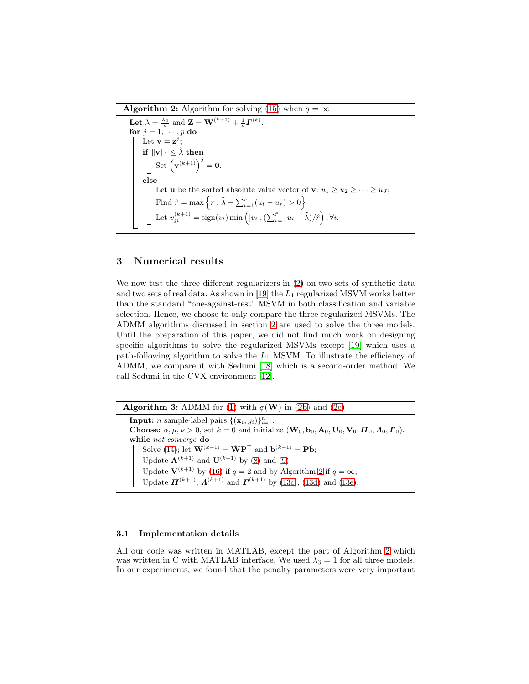**Algorithm 2:** Algorithm for solving [\(15\)](#page-5-2) when  $q = \infty$ 

<span id="page-6-1"></span>Let  $\tilde{\lambda} = \frac{\lambda_2}{\nu}$  and  $\mathbf{Z} = \mathbf{W}^{(k+1)} + \frac{1}{\nu} \mathbf{\Gamma}^{(k)}$ . for  $j=1,\cdots,p$  do Let  $\mathbf{v} = \mathbf{z}^j$ ; if  $||\mathbf{v}||_1 \leq \tilde{\lambda}$  then Set  $(\mathbf{v}^{(k+1)})^j = \mathbf{0}.$ else Let **u** be the sorted absolute value vector of **v**:  $u_1 \geq u_2 \geq \cdots \geq u_J$ ; Find  $\hat{r} = \max \left\{ r : \tilde{\lambda} - \sum_{t=1}^r (u_t - u_r) > 0 \right\}$ Let  $v_{ji}^{(k+1)} = \text{sign}(v_i) \min\left(|v_i|, \left(\sum_{t=1}^{\hat{r}} u_t - \tilde{\lambda}\right)/\hat{r}\right), \forall i.$ 

# <span id="page-6-0"></span>3 Numerical results

We now test the three different regularizers in [\(2\)](#page-1-4) on two sets of synthetic data and two sets of real data. As shown in [\[19\]](#page-11-5) the  $L_1$  regularized MSVM works better than the standard "one-against-rest" MSVM in both classification and variable selection. Hence, we choose to only compare the three regularized MSVMs. The ADMM algorithms discussed in section [2](#page-2-0) are used to solve the three models. Until the preparation of this paper, we did not find much work on designing specific algorithms to solve the regularized MSVMs except [\[19\]](#page-11-5) which uses a path-following algorithm to solve the  $L_1$  MSVM. To illustrate the efficiency of ADMM, we compare it with Sedumi [\[18\]](#page-11-13) which is a second-order method. We call Sedumi in the CVX environment [\[12\]](#page-11-14).

<span id="page-6-2"></span>**Algorithm 3:** ADMM for [\(1\)](#page-1-0) with  $\phi(\mathbf{W})$  in [\(2b\)](#page-1-3) and [\(2c\)](#page-1-2) **Input:** *n* sample-label pairs  $\{(\mathbf{x}_i, y_i)\}_{i=1}^n$ . **Choose:**  $\alpha, \mu, \nu > 0$ , set  $k = 0$  and initialize  $(\mathbf{W}_0, \mathbf{b}_0, \mathbf{A}_0, \mathbf{U}_0, \mathbf{V}_0, \boldsymbol{\Pi}_0, \boldsymbol{\Lambda}_0, \boldsymbol{\Gamma}_0)$ . while not converge do Solve [\(14\)](#page-5-4); let  $\mathbf{W}^{(k+1)} = \hat{\mathbf{W}} \mathbf{P}^{\top}$  and  $\mathbf{b}^{(k+1)} = \mathbf{P} \hat{\mathbf{b}}$ ; Update  $A^{(k+1)}$  and  $U^{(k+1)}$  by [\(8\)](#page-4-1) and [\(9\)](#page-4-2); Update  $V^{(k+1)}$  by [\(16\)](#page-5-5) if  $q = 2$  $q = 2$  and by Algorithm 2 if  $q = \infty$ ; Update  $\mathbf{\Pi}^{(k+1)}$ ,  $\mathbf{\Lambda}^{(k+1)}$  and  $\mathbf{\Gamma}^{(k+1)}$  by [\(13c\)](#page-5-6), [\(13d\)](#page-5-7) and [\(13e\)](#page-5-8);

#### 3.1 Implementation details

All our code was written in MATLAB, except the part of Algorithm [2](#page-6-1) which was written in C with MATLAB interface. We used  $\lambda_3 = 1$  for all three models. In our experiments, we found that the penalty parameters were very important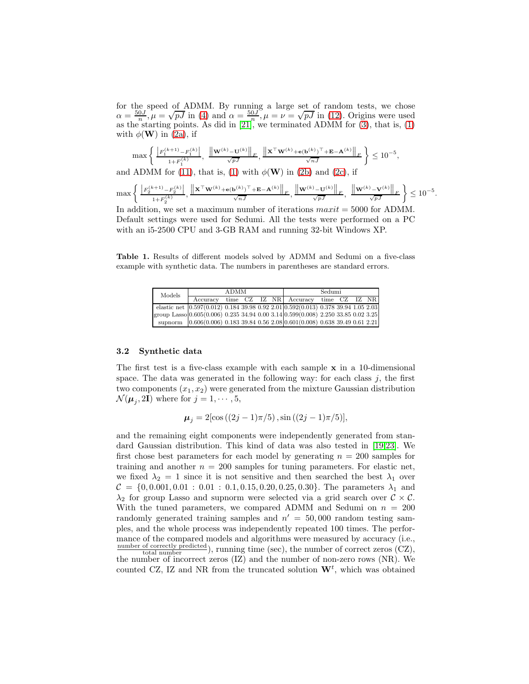for the speed of ADMM. By running a large set of random tests, we chose  $\alpha = \frac{50J}{n}$ ,  $\mu = \sqrt{pJ}$  in [\(4\)](#page-2-4) and  $\alpha = \frac{50J}{n}$ ,  $\mu = \nu = \sqrt{pJ}$  in [\(12\)](#page-4-5). Origins were used as the starting points. As did in  $[21]$ , we terminated ADMM for  $(3)$ , that is,  $(1)$ with  $\phi(\mathbf{W})$  in [\(2a\)](#page-1-1), if

$$
\max\left\{\frac{\left|F_1^{(k+1)}-F_1^{(k)}\right|}{1+F_1^{(k)}},\frac{\left\|\mathbf{w}^{(k)}-\mathbf{U}^{(k)}\right\|_F}{\sqrt{pJ}},\frac{\left\|\mathbf{x}^\top\mathbf{w}^{(k)}+\mathbf{e}(\mathbf{b}^{(k)})^\top+\mathbf{E}-\mathbf{A}^{(k)}\right\|_F}{\sqrt{nJ}}\right\} \le 10^{-5},
$$
 and ADMM for (11), that is, (1) with  $\phi(\mathbf{W})$  in (2b) and (2c), if

$$
\max\left\{\left. \frac{\left|F_2^{(k+1)}-F_2^{(k)}\right|}{1+F_2^{(k)}},\frac{\left\|{\bf X}^\top{\bf W}^{(k)}+\mathbf{e}({\bf b}^{(k)})^\top+{\bf E}-{\bf A}^{(k)}\right\|_F}{\sqrt{nJ}},\;\frac{\left\|{\bf W}^{(k)}-{\bf U}^{(k)}\right\|_F}{\sqrt{pJ}},\;\frac{\left\|{\bf W}^{(k)}-{\bf V}^{(k)}\right\|_F}{\sqrt{pJ}}\right\}\leq 10^{-5}.
$$

In addition, we set a maximum number of iterations  $maxit = 5000$  for ADMM. Default settings were used for Sedumi. All the tests were performed on a PC with an i5-2500 CPU and 3-GB RAM and running 32-bit Windows XP.

Table 1. Results of different models solved by ADMM and Sedumi on a five-class example with synthetic data. The numbers in parentheses are standard errors.

<span id="page-7-0"></span>

| Models |          | <b>ADMM</b> |  | Sedumi |                                                                                       |  |  |  |  |
|--------|----------|-------------|--|--------|---------------------------------------------------------------------------------------|--|--|--|--|
|        | Accuracy |             |  |        | time CZ IZ NR Accuracy time CZ IZ NR                                                  |  |  |  |  |
|        |          |             |  |        | elastic net $(0.597(0.012) 0.184 39.98 0.92 2.01(0.592(0.013) 0.378 39.94 1.05 2.03)$ |  |  |  |  |
|        |          |             |  |        | group Lasso 0.605(0.006) 0.235 34.94 0.00 3.14 0.599(0.008) 2.250 33.85 0.02 3.25     |  |  |  |  |
|        |          |             |  |        | supnorm $[0.606(0.006) 0.183 39.84 0.56 2.08] 0.601(0.008) 0.638 39.49 0.61 2.21]$    |  |  |  |  |

#### 3.2 Synthetic data

The first test is a five-class example with each sample  $x$  in a 10-dimensional space. The data was generated in the following way: for each class  $j$ , the first two components  $(x_1, x_2)$  were generated from the mixture Gaussian distribution  $\mathcal{N}(\boldsymbol{\mu}_j, 2\mathbf{I})$  where for  $j = 1, \cdots, 5$ ,

 $\mu_j = 2[\cos((2j-1)\pi/5), \sin((2j-1)\pi/5)],$ 

and the remaining eight components were independently generated from standard Gaussian distribution. This kind of data was also tested in [\[19,](#page-11-5)[23\]](#page-11-6). We first chose best parameters for each model by generating  $n = 200$  samples for training and another  $n = 200$  samples for tuning parameters. For elastic net, we fixed  $\lambda_2 = 1$  since it is not sensitive and then searched the best  $\lambda_1$  over  $C = \{0, 0.001, 0.01 : 0.01 : 0.1, 0.15, 0.20, 0.25, 0.30\}$ . The parameters  $\lambda_1$  and  $\lambda_2$  for group Lasso and supnorm were selected via a grid search over  $\mathcal{C} \times \mathcal{C}$ . With the tuned parameters, we compared ADMM and Sedumi on  $n = 200$ randomly generated training samples and  $n' = 50,000$  random testing samples, and the whole process was independently repeated 100 times. The performance of the compared models and algorithms were measured by accuracy (i.e.,  $\frac{\text{number of correctly predicted}}{\text{total number}}$ , running time (sec), the number of correct zeros (CZ), total number  $(1, 2)$ , the number of incorrect zeros  $(1, 2)$  and the number of non-zero rows  $(NR)$ . We counted CZ, IZ and NR from the truncated solution  $\mathbf{W}^t$ , which was obtained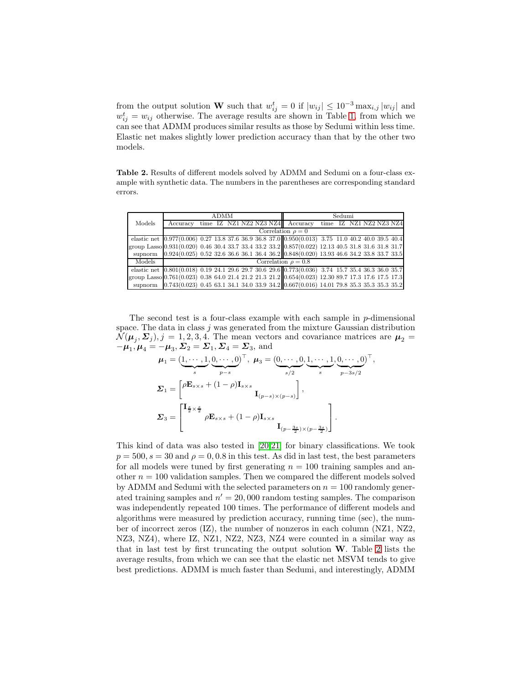from the output solution **W** such that  $w_{ij}^t = 0$  if  $|w_{ij}| \leq 10^{-3} \max_{i,j} |w_{ij}|$  and  $w_{ij}^t = w_{ij}$  otherwise. The average results are shown in Table [1,](#page-7-0) from which we can see that ADMM produces similar results as those by Sedumi within less time. Elastic net makes slightly lower prediction accuracy than that by the other two models.

<span id="page-8-0"></span>Table 2. Results of different models solved by ADMM and Sedumi on a four-class example with synthetic data. The numbers in the parentheses are corresponding standard errors.

|                                                                                                         |          | <b>ADMM</b> |  | Sedumi |                                                                                                        |                         |  |  |  |  |  |
|---------------------------------------------------------------------------------------------------------|----------|-------------|--|--------|--------------------------------------------------------------------------------------------------------|-------------------------|--|--|--|--|--|
| Models                                                                                                  | Accuracy |             |  |        | time IZ NZ1 NZ2 NZ3 NZ4 Accuracy                                                                       | time IZ NZ1 NZ2 NZ3 NZ4 |  |  |  |  |  |
|                                                                                                         |          |             |  |        | Correlation $\rho = 0$                                                                                 |                         |  |  |  |  |  |
|                                                                                                         |          |             |  |        | elastic net $(0.977(0.006) 0.27 13.8 37.6 36.9 36.8 37.0 0.950(0.013) 3.75 11.0 40.2 40.0 39.5 40.4$   |                         |  |  |  |  |  |
| group Lasso $(0.931(0.020) 0.46 30.4 33.7 33.4 33.2 33.2   0.857(0.022) 12.13 40.5 31.8 31.6 31.8 31.7$ |          |             |  |        |                                                                                                        |                         |  |  |  |  |  |
|                                                                                                         |          |             |  |        | supnorm 0.924(0.025) 0.52 32.6 36.6 36.1 36.4 36.2 0.848(0.020) 13.93 46.6 34.2 33.8 33.7 33.5         |                         |  |  |  |  |  |
| Models                                                                                                  |          |             |  |        | Correlation $\rho = 0.8$                                                                               |                         |  |  |  |  |  |
|                                                                                                         |          |             |  |        | elastic net $(0.801(0.018) 0.19 24.1 29.6 29.7 30.6 29.6) 0.773(0.036) 3.74 15.7 35.4 36.3 36.0 35.7)$ |                         |  |  |  |  |  |
| group Lasso 0.761(0.023) 0.38 64.0 21.4 21.2 21.3 21.2 0.654(0.023) 12.30 89.7 17.3 17.6 17.5 17.3      |          |             |  |        |                                                                                                        |                         |  |  |  |  |  |
|                                                                                                         |          |             |  |        | supnorm 0.743(0.023) 0.45 63.1 34.1 34.0 33.9 34.2 0.667(0.016) 14.01 79.8 35.3 35.3 35.3 35.2         |                         |  |  |  |  |  |

The second test is a four-class example with each sample in  $p$ -dimensional space. The data in class  $j$  was generated from the mixture Gaussian distribution  $\mathcal{N}(\mu_j, \Sigma_j), j = 1, 2, 3, 4.$  The mean vectors and covariance matrices are  $\mu_2 =$  $-\mu_1, \mu_4 = -\mu_3, \Sigma_2 = \Sigma_1, \Sigma_4 = \Sigma_3$ , and

$$
\mu_1 = (\underbrace{1, \cdots, 1}_{s}, \underbrace{0, \cdots, 0}_{p-s})^{\top}, \ \mu_3 = (\underbrace{0, \cdots, 0}_{s/2}, \underbrace{1, \cdots, 1}_{s}, \underbrace{0, \cdots, 0}_{p-3s/2})^{\top},
$$
\n
$$
\Sigma_1 = \begin{bmatrix} \rho \mathbf{E}_{s \times s} + (1 - \rho) \mathbf{I}_{s \times s} \\ \mathbf{I}_{(p-s) \times (p-s)} \end{bmatrix},
$$
\n
$$
\Sigma_3 = \begin{bmatrix} \mathbf{I}_{\frac{s}{2} \times \frac{s}{2}} & \rho \mathbf{E}_{s \times s} + (1 - \rho) \mathbf{I}_{s \times s} \\ \mathbf{I}_{(p-\frac{3s}{2}) \times (p-\frac{3s}{2})} \end{bmatrix}.
$$

This kind of data was also tested in [\[20](#page-11-16)[,21\]](#page-11-15) for binary classifications. We took  $p = 500$ ,  $s = 30$  and  $\rho = 0, 0.8$  in this test. As did in last test, the best parameters for all models were tuned by first generating  $n = 100$  training samples and another  $n = 100$  validation samples. Then we compared the different models solved by ADMM and Sedumi with the selected parameters on  $n = 100$  randomly generated training samples and  $n' = 20,000$  random testing samples. The comparison was independently repeated 100 times. The performance of different models and algorithms were measured by prediction accuracy, running time (sec), the number of incorrect zeros (IZ), the number of nonzeros in each column (NZ1, NZ2, NZ3, NZ4), where IZ, NZ1, NZ2, NZ3, NZ4 were counted in a similar way as that in last test by first truncating the output solution W. Table [2](#page-8-0) lists the average results, from which we can see that the elastic net MSVM tends to give best predictions. ADMM is much faster than Sedumi, and interestingly, ADMM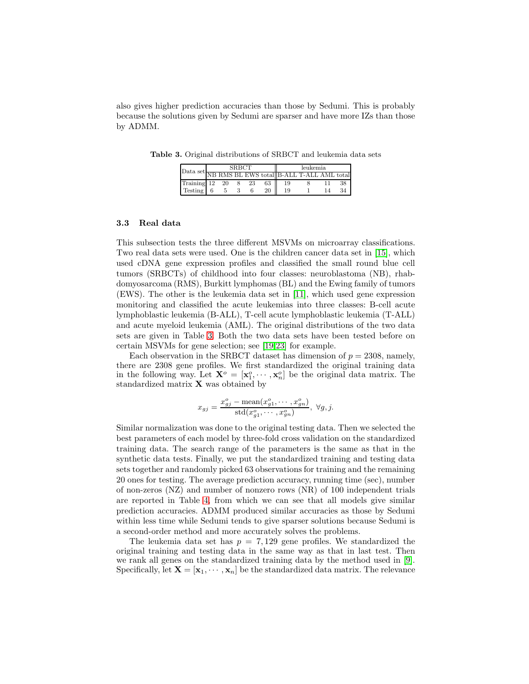also gives higher prediction accuracies than those by Sedumi. This is probably because the solutions given by Sedumi are sparser and have more IZs than those by ADMM.

Table 3. Original distributions of SRBCT and leukemia data sets

<span id="page-9-0"></span>

| $\label{eq:Data set} \boxed{\text{Data set}} \overline{\text{NB RMS BL EWS total}} \boxed{\text{B-ALL T-ALL AML total}}$ |   | <b>SRBCT</b> |    |       | leukemia |  |  |    |  |
|--------------------------------------------------------------------------------------------------------------------------|---|--------------|----|-------|----------|--|--|----|--|
|                                                                                                                          |   |              |    |       |          |  |  |    |  |
| Training 12 20                                                                                                           |   | -8           | 23 | 63 II |          |  |  | 38 |  |
| Testing 6                                                                                                                | 5 |              |    | 20    | 19       |  |  | 34 |  |

#### 3.3 Real data

This subsection tests the three different MSVMs on microarray classifications. Two real data sets were used. One is the children cancer data set in [\[15\]](#page-11-17), which used cDNA gene expression profiles and classified the small round blue cell tumors (SRBCTs) of childhood into four classes: neuroblastoma (NB), rhabdomyosarcoma (RMS), Burkitt lymphomas (BL) and the Ewing family of tumors (EWS). The other is the leukemia data set in [\[11\]](#page-11-18), which used gene expression monitoring and classified the acute leukemias into three classes: B-cell acute lymphoblastic leukemia (B-ALL), T-cell acute lymphoblastic leukemia (T-ALL) and acute myeloid leukemia (AML). The original distributions of the two data sets are given in Table [3.](#page-9-0) Both the two data sets have been tested before on certain MSVMs for gene selection; see [\[19,](#page-11-5)[23\]](#page-11-6) for example.

Each observation in the SRBCT dataset has dimension of  $p = 2308$ , namely, there are 2308 gene profiles. We first standardized the original training data in the following way. Let  $\mathbf{X}^o = [\mathbf{x}_1^o, \cdots, \mathbf{x}_n^o]$  be the original data matrix. The standardized matrix  $\mathbf X$  was obtained by

$$
x_{gj} = \frac{x_{gj}^o - \text{mean}(x_{g1}^o, \dots, x_{gn}^o)}{\text{std}(x_{g1}^o, \dots, x_{gn}^o)}, \ \forall g, j.
$$

Similar normalization was done to the original testing data. Then we selected the best parameters of each model by three-fold cross validation on the standardized training data. The search range of the parameters is the same as that in the synthetic data tests. Finally, we put the standardized training and testing data sets together and randomly picked 63 observations for training and the remaining 20 ones for testing. The average prediction accuracy, running time (sec), number of non-zeros (NZ) and number of nonzero rows (NR) of 100 independent trials are reported in Table [4,](#page-10-4) from which we can see that all models give similar prediction accuracies. ADMM produced similar accuracies as those by Sedumi within less time while Sedumi tends to give sparser solutions because Sedumi is a second-order method and more accurately solves the problems.

The leukemia data set has  $p = 7,129$  gene profiles. We standardized the original training and testing data in the same way as that in last test. Then we rank all genes on the standardized training data by the method used in [\[9\]](#page-11-19). Specifically, let  $\mathbf{X} = [\mathbf{x}_1, \cdots, \mathbf{x}_n]$  be the standardized data matrix. The relevance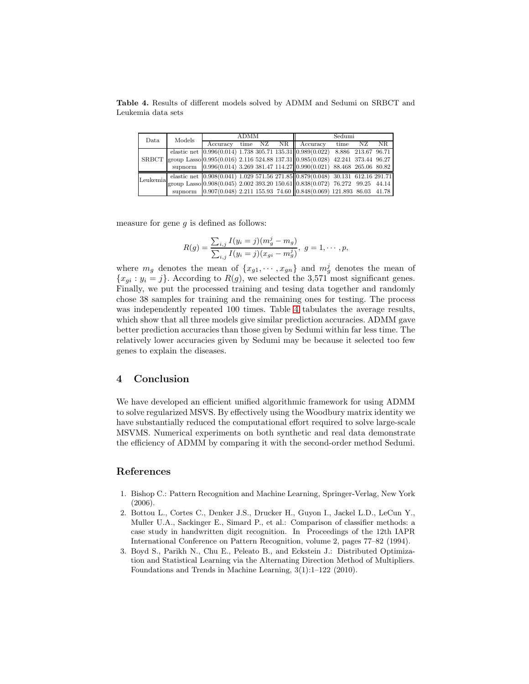Table 4. Results of different models solved by ADMM and Sedumi on SRBCT and Leukemia data sets

<span id="page-10-4"></span>

| Data         | Models |          | <b>ADMM</b> |         |       | Sedumi                                                                               |                     |     |     |  |
|--------------|--------|----------|-------------|---------|-------|--------------------------------------------------------------------------------------|---------------------|-----|-----|--|
|              |        | Accuracy |             | time NZ | NR II | Accuracy                                                                             | time                | NZ. | NR. |  |
|              |        |          |             |         |       | elastic net $(0.996(0.014) 1.738 305.71 135.31(0.989(0.022))$                        | 8.886 213.67 96.71  |     |     |  |
| <b>SRBCT</b> |        |          |             |         |       | group Lasso 0.995(0.016) 2.116 524.88 137.31 0.985(0.028)                            | 42.241 373.44 96.27 |     |     |  |
|              |        |          |             |         |       | supnorm 0.996(0.014) 3.269 381.47 114.27 0.990(0.021) 88.468 265.06 80.82            |                     |     |     |  |
| Leukemia     |        |          |             |         |       | elastic net $(0.908(0.041) 1.029 571.56 271.85(0.879(0.048) 30.131 612.16 291.71)$   |                     |     |     |  |
|              |        |          |             |         |       | group Lasso $(0.908(0.045) 2.002 393.20 150.61)$ $(0.838(0.072) 76.272 99.25 44.14)$ |                     |     |     |  |
|              |        |          |             |         |       | supnorm 0.907(0.048) 2.211 155.93 74.60 0.848(0.069) 121.893 86.03 41.78             |                     |     |     |  |

measure for gene  $g$  is defined as follows:

$$
R(g) = \frac{\sum_{i,j} I(y_i = j)(m_g^j - m_g)}{\sum_{i,j} I(y_i = j)(x_{gi} - m_g^j)}, \ g = 1, \cdots, p,
$$

where  $m_g$  denotes the mean of  $\{x_{g1}, \dots, x_{gn}\}\$  and  $m_g^j$  denotes the mean of  ${x_{gi} : y_i = j}.$  According to  $R(g)$ , we selected the 3,571 most significant genes. Finally, we put the processed training and tesing data together and randomly chose 38 samples for training and the remaining ones for testing. The process was independently repeated 100 times. Table [4](#page-10-4) tabulates the average results, which show that all three models give similar prediction accuracies. ADMM gave better prediction accuracies than those given by Sedumi within far less time. The relatively lower accuracies given by Sedumi may be because it selected too few genes to explain the diseases.

## <span id="page-10-2"></span>4 Conclusion

We have developed an efficient unified algorithmic framework for using ADMM to solve regularized MSVS. By effectively using the Woodbury matrix identity we have substantially reduced the computational effort required to solve large-scale MSVMS. Numerical experiments on both synthetic and real data demonstrate the efficiency of ADMM by comparing it with the second-order method Sedumi.

# References

- <span id="page-10-0"></span>1. Bishop C.: Pattern Recognition and Machine Learning, Springer-Verlag, New York (2006).
- <span id="page-10-1"></span>2. Bottou L., Cortes C., Denker J.S., Drucker H., Guyon I., Jackel L.D., LeCun Y., Muller U.A., Sackinger E., Simard P., et al.: Comparison of classifier methods: a case study in handwritten digit recognition. In Proceedings of the 12th IAPR International Conference on Pattern Recognition, volume 2, pages 77–82 (1994).
- <span id="page-10-3"></span>3. Boyd S., Parikh N., Chu E., Peleato B., and Eckstein J.: Distributed Optimization and Statistical Learning via the Alternating Direction Method of Multipliers. Foundations and Trends in Machine Learning, 3(1):1–122 (2010).